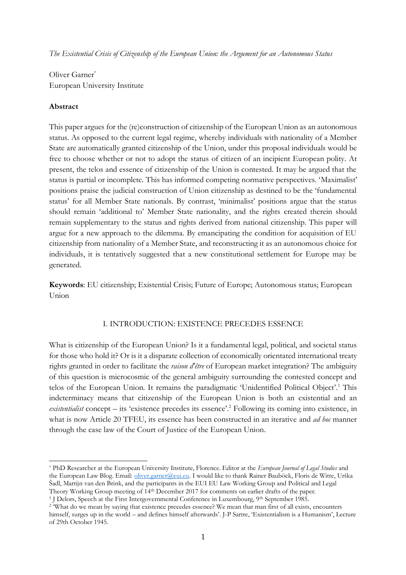*The Existential Crisis of Citizenship of the European Union: the Argument for an Autonomous Status*

Oliver Garner\* European University Institute

# **Abstract**

 $\overline{a}$ 

This paper argues for the (re)construction of citizenship of the European Union as an autonomous status. As opposed to the current legal regime, whereby individuals with nationality of a Member State are automatically granted citizenship of the Union, under this proposal individuals would be free to choose whether or not to adopt the status of citizen of an incipient European polity. At present, the telos and essence of citizenship of the Union is contested. It may be argued that the status is partial or incomplete. This has informed competing normative perspectives. 'Maximalist' positions praise the judicial construction of Union citizenship as destined to be the 'fundamental status' for all Member State nationals. By contrast, 'minimalist' positions argue that the status should remain 'additional to' Member State nationality, and the rights created therein should remain supplementary to the status and rights derived from national citizenship. This paper will argue for a new approach to the dilemma. By emancipating the condition for acquisition of EU citizenship from nationality of a Member State, and reconstructing it as an autonomous choice for individuals, it is tentatively suggested that a new constitutional settlement for Europe may be generated.

**Keywords**: EU citizenship; Existential Crisis; Future of Europe; Autonomous status; European Union

# I. INTRODUCTION: EXISTENCE PRECEDES ESSENCE

What is citizenship of the European Union? Is it a fundamental legal, political, and societal status for those who hold it? Or is it a disparate collection of economically orientated international treaty rights granted in order to facilitate the *raison d'être* of European market integration? The ambiguity of this question is microcosmic of the general ambiguity surrounding the contested concept and telos of the European Union. It remains the paradigmatic 'Unidentified Political Object'. <sup>1</sup> This indeterminacy means that citizenship of the European Union is both an existential and an *existentialist* concept – its 'existence precedes its essence'. <sup>2</sup> Following its coming into existence, in what is now Article 20 TFEU, its essence has been constructed in an iterative and *ad hoc* manner through the case law of the Court of Justice of the European Union.

<sup>\*</sup> PhD Researcher at the European University Institute, Florence. Editor at the *European Journal of Legal Studies* and the European Law Blog. Email: [oliver.garner@eui.eu.](mailto:oliver.garner@eui.eu) I would like to thank Rainer Bauböck, Floris de Witte, Urška Šadl, Martijn van den Brink, and the participants in the EUI EU Law Working Group and Political and Legal Theory Working Group meeting of 14th December 2017 for comments on earlier drafts of the paper.

<sup>&</sup>lt;sup>1</sup> J Delors, Speech at the First Intergovernmental Conference in Luxembourg, <sup>9th</sup> September 1985.

<sup>2</sup> 'What do we mean by saying that existence precedes essence? We mean that man first of all exists, encounters himself, surges up in the world – and defines himself afterwards'. J-P Sartre, 'Existentialism is a Humanism', Lecture of 29th October 1945.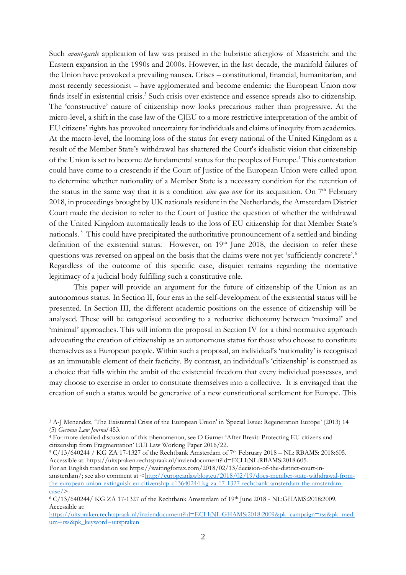Such *avant-garde* application of law was praised in the hubristic afterglow of Maastricht and the Eastern expansion in the 1990s and 2000s. However, in the last decade, the manifold failures of the Union have provoked a prevailing nausea. Crises – constitutional, financial, humanitarian, and most recently secessionist – have agglomerated and become endemic: the European Union now finds itself in existential crisis.<sup>3</sup> Such crisis over existence and essence spreads also to citizenship. The 'constructive' nature of citizenship now looks precarious rather than progressive. At the micro-level, a shift in the case law of the CJEU to a more restrictive interpretation of the ambit of EU citizens' rights has provoked uncertainty for individuals and claims of inequity from academics. At the macro-level, the looming loss of the status for every national of the United Kingdom as a result of the Member State's withdrawal has shattered the Court's idealistic vision that citizenship of the Union is set to become *the* fundamental status for the peoples of Europe.<sup>4</sup> This contestation could have come to a crescendo if the Court of Justice of the European Union were called upon to determine whether nationality of a Member State is a necessary condition for the retention of the status in the same way that it is a condition *sine qua non* for its acquisition. On 7<sup>th</sup> February 2018, in proceedings brought by UK nationals resident in the Netherlands, the Amsterdam District Court made the decision to refer to the Court of Justice the question of whether the withdrawal of the United Kingdom automatically leads to the loss of EU citizenship for that Member State's nationals. <sup>5</sup> This could have precipitated the authoritative pronouncement of a settled and binding definition of the existential status. However, on  $19<sup>th</sup>$  June 2018, the decision to refer these questions was reversed on appeal on the basis that the claims were not yet 'sufficiently concrete'.<sup>6</sup> Regardless of the outcome of this specific case, disquiet remains regarding the normative legitimacy of a judicial body fulfilling such a constitutive role.

This paper will provide an argument for the future of citizenship of the Union as an autonomous status. In Section II, four eras in the self-development of the existential status will be presented. In Section III, the different academic positions on the essence of citizenship will be analysed. These will be categorised according to a reductive dichotomy between 'maximal' and 'minimal' approaches. This will inform the proposal in Section IV for a third normative approach advocating the creation of citizenship as an autonomous status for those who choose to constitute themselves as a European people. Within such a proposal, an individual's 'nationality' is recognised as an immutable element of their facticity. By contrast, an individual's 'citizenship' is construed as a choice that falls within the ambit of the existential freedom that every individual possesses, and may choose to exercise in order to constitute themselves into a collective. It is envisaged that the creation of such a status would be generative of a new constitutional settlement for Europe. This

 $\overline{a}$ 

 $5 \text{ C}/13/640244$  / KG ZA 17-1327 of the Rechtbank Amsterdam of 7<sup>th</sup> February 2018 – NL: RBAMS: 2018:605. Accessible at: https://uitspraken.rechtspraak.nl/inziendocument?id=ECLI:NL:RBAMS:2018:605. For an English translation see https://waitingfortax.com/2018/02/13/decision-of-the-district-court-in-amsterdam/; see also comment at [<http://europeanlawblog.eu/2018/02/19/does-member-state-withdrawal-from-](http://europeanlawblog.eu/2018/02/19/does-member-state-withdrawal-from-the-european-union-extinguish-eu-citizenship-c13640244-kg-za-17-1327-rechtbank-amsterdam-the-amsterdam-case/)

[the-european-union-extinguish-eu-citizenship-c13640244-kg-za-17-1327-rechtbank-amsterdam-the-amsterdam-](http://europeanlawblog.eu/2018/02/19/does-member-state-withdrawal-from-the-european-union-extinguish-eu-citizenship-c13640244-kg-za-17-1327-rechtbank-amsterdam-the-amsterdam-case/) $\csc/$ .

<sup>3</sup> A-J Menendez, 'The Existential Crisis of the European Union' in 'Special Issue: Regeneration Europe' (2013) 14 (5) *German Law Journal* 453.

<sup>4</sup> For more detailed discussion of this phenomenon, see O Garner 'After Brexit: Protecting EU citizens and citizenship from Fragmentation' EUI Law Working Paper 2016/22.

<sup>6</sup> C/13/640244/ KG ZA 17-1327 of the Rechtbank Amsterdam of 19th June 2018 - NL:GHAMS:2018:2009. Accessible at:

[https://uitspraken.rechtspraak.nl/inziendocument?id=ECLI:NL:GHAMS:2018:2009&pk\\_campaign=rss&pk\\_medi](https://uitspraken.rechtspraak.nl/inziendocument?id=ECLI:NL:GHAMS:2018:2009&pk_campaign=rss&pk_medium=rss&pk_keyword=uitspraken) [um=rss&pk\\_keyword=uitspraken](https://uitspraken.rechtspraak.nl/inziendocument?id=ECLI:NL:GHAMS:2018:2009&pk_campaign=rss&pk_medium=rss&pk_keyword=uitspraken)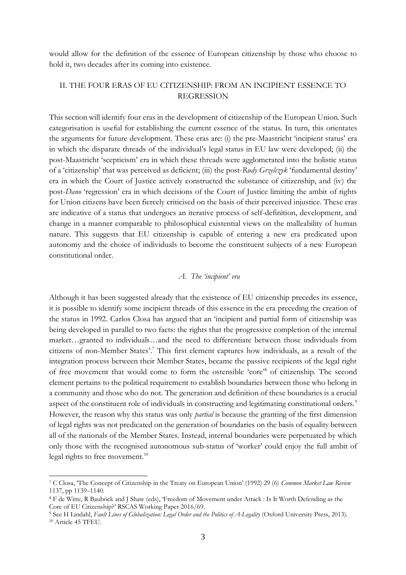would allow for the definition of the essence of European citizenship by those who choose to hold it, two decades after its coming into existence.

# II. THE FOUR ERAS OF EU CITIZENSHIP: FROM AN INCIPIENT ESSENCE TO **REGRESSION**

This section will identify four eras in the development of citizenship of the European Union. Such categorisation is useful for establishing the current essence of the status. In turn, this orientates the arguments for future development. These eras are: (i) the pre-Maastricht 'incipient status' era in which the disparate threads of the individual's legal status in EU law were developed; (ii) the post-Maastricht 'scepticism' era in which these threads were agglomerated into the holistic status of a 'citizenship' that was perceived as deficient; (iii) the post-*Rudy Grzelczyk* 'fundamental destiny' era in which the Court of Justice actively constructed the substance of citizenship, and (iv) the post-*Dano* 'regression' era in which decisions of the Court of Justice limiting the ambit of rights for Union citizens have been fiercely criticised on the basis of their perceived injustice. These eras are indicative of a status that undergoes an iterative process of self-definition, development, and change in a manner comparable to philosophical existential views on the malleability of human nature. This suggests that EU citizenship is capable of entering a new era predicated upon autonomy and the choice of individuals to become the constituent subjects of a new European constitutional order.

## *A. The 'incipient' era*

Although it has been suggested already that the existence of EU citizenship precedes its essence, it is possible to identify some incipient threads of this essence in the era preceding the creation of the status in 1992. Carlos Closa has argued that an 'incipient and partial form of citizenship was being developed in parallel to two facts: the rights that the progressive completion of the internal market…granted to individuals…and the need to differentiate between those individuals from citizens of non-Member States'. <sup>7</sup> This first element captures how individuals, as a result of the integration process between their Member States, became the passive recipients of the legal right of free movement that would come to form the ostensible 'core' <sup>8</sup> of citizenship. The second element pertains to the political requirement to establish boundaries between those who belong in a community and those who do not. The generation and definition of these boundaries is a crucial aspect of the constituent role of individuals in constructing and legitimating constitutional orders.<sup>9</sup> However, the reason why this status was only *partial* is because the granting of the first dimension of legal rights was not predicated on the generation of boundaries on the basis of equality between all of the nationals of the Member States. Instead, internal boundaries were perpetuated by which only those with the recognised autonomous sub-status of 'worker' could enjoy the full ambit of legal rights to free movement.<sup>10</sup>

<sup>7</sup> C Closa, 'The Concept of Citizenship in the Treaty on European Union' (1992) 29 (6) *Common Market Law Review* 1137, pp 1139–1140.

<sup>8</sup> F de Witte, R Bauböck and J Shaw (eds), 'Freedom of Movement under Attack : Is It Worth Defending as the Core of EU Citizenship?' RSCAS Working Paper 2016/69.

<sup>9</sup> See H Lindahl, *Fault Lines of Globalization: Legal Order and the Politics of A-Legality* (Oxford University Press, 2013). <sup>10</sup> Article 45 TFEU.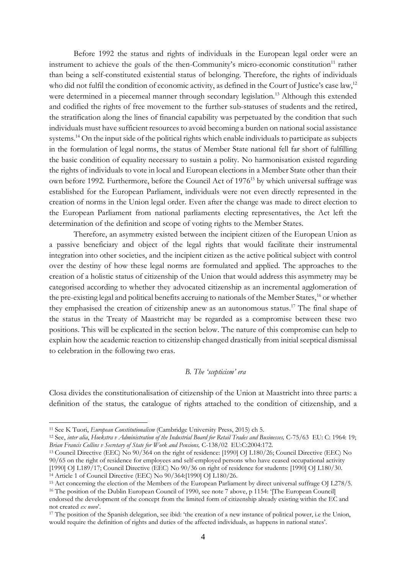Before 1992 the status and rights of individuals in the European legal order were an instrument to achieve the goals of the then-Community's micro-economic constitution $11$  rather than being a self-constituted existential status of belonging. Therefore, the rights of individuals who did not fulfil the condition of economic activity, as defined in the Court of Justice's case law,<sup>12</sup> were determined in a piecemeal manner through secondary legislation.<sup>13</sup> Although this extended and codified the rights of free movement to the further sub-statuses of students and the retired, the stratification along the lines of financial capability was perpetuated by the condition that such individuals must have sufficient resources to avoid becoming a burden on national social assistance systems.<sup>14</sup> On the input side of the political rights which enable individuals to participate as subjects in the formulation of legal norms, the status of Member State national fell far short of fulfilling the basic condition of equality necessary to sustain a polity. No harmonisation existed regarding the rights of individuals to vote in local and European elections in a Member State other than their own before 1992. Furthermore, before the Council Act of 1976<sup>15</sup> by which universal suffrage was established for the European Parliament, individuals were not even directly represented in the creation of norms in the Union legal order. Even after the change was made to direct election to the European Parliament from national parliaments electing representatives, the Act left the determination of the definition and scope of voting rights to the Member States.

Therefore, an asymmetry existed between the incipient citizen of the European Union as a passive beneficiary and object of the legal rights that would facilitate their instrumental integration into other societies, and the incipient citizen as the active political subject with control over the destiny of how these legal norms are formulated and applied. The approaches to the creation of a holistic status of citizenship of the Union that would address this asymmetry may be categorised according to whether they advocated citizenship as an incremental agglomeration of the pre-existing legal and political benefits accruing to nationals of the Member States,<sup>16</sup> or whether they emphasised the creation of citizenship anew as an autonomous status.<sup>17</sup> The final shape of the status in the Treaty of Maastricht may be regarded as a compromise between these two positions. This will be explicated in the section below. The nature of this compromise can help to explain how the academic reaction to citizenship changed drastically from initial sceptical dismissal to celebration in the following two eras.

#### *B. The 'scepticism' era*

Closa divides the constitutionalisation of citizenship of the Union at Maastricht into three parts: a definition of the status, the catalogue of rights attached to the condition of citizenship, and a

<sup>11</sup> See K Tuori, *European Constitutionalism* (Cambridge University Press, 2015) ch 5.

<sup>12</sup> See, *inter alia*, *Hoekstra v Administration of the Industrial Board for Retail Trades and Businesses,* C-75/63 EU: C: 1964: 19; *Brian Francis Collins v Secretary of State for Work and Pensions,* C-138/02 EU:C:2004:172.

<sup>13</sup> Council Directive (EEC) No 90/364 on the right of residence: [1990] OJ L180/26; Council Directive (EEC) No 90/65 on the right of residence for employees and self-employed persons who have ceased occupational activity [1990] OJ L189/17; Council Directive (EEC) No 90/36 on right of residence for students: [1990] OJ L180/30. <sup>14</sup> Article 1 of Council Directive (EEC) No 90/364:[1990] OJ L180/26.

<sup>&</sup>lt;sup>15</sup> Act concerning the election of the Members of the European Parliament by direct universal suffrage OJ L278/5.

<sup>&</sup>lt;sup>16</sup> The position of the Dublin European Council of 1990, see note 7 above, p 1154: '[The European Council] endorsed the development of the concept from the limited form of citizenship already existing within the EC and not created *ex novo*'.

<sup>&</sup>lt;sup>17</sup> The position of the Spanish delegation, see ibid: 'the creation of a new instance of political power, i.e the Union, would require the definition of rights and duties of the affected individuals, as happens in national states'.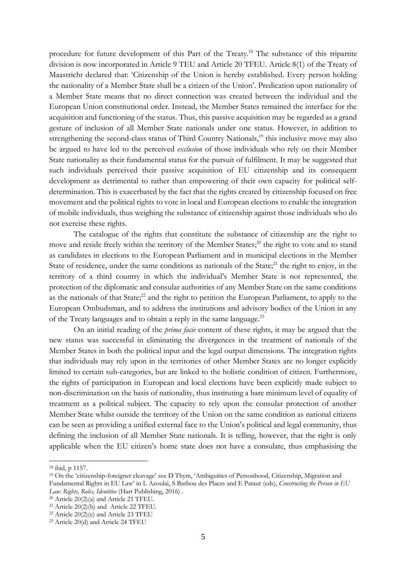procedure for future development of this Part of the Treaty.<sup>18</sup> The substance of this tripartite division is now incorporated in Article 9 TEU and Article 20 TFEU. Article 8(1) of the Treaty of Maastricht declared that: 'Citizenship of the Union is hereby established. Every person holding the nationality of a Member State shall be a citizen of the Union'. Predication upon nationality of a Member State means that no direct connection was created between the individual and the European Union constitutional order. Instead, the Member States remained the interface for the acquisition and functioning of the status. Thus, this passive acquisition may be regarded as a grand gesture of inclusion of all Member State nationals under one status. However, in addition to strengthening the second-class status of Third Country Nationals,<sup>19</sup> this inclusive move may also be argued to have led to the perceived *exclusion* of those individuals who rely on their Member State nationality as their fundamental status for the pursuit of fulfilment. It may be suggested that such individuals perceived their passive acquisition of EU citizenship and its consequent development as detrimental to rather than empowering of their own capacity for political selfdetermination. This is exacerbated by the fact that the rights created by citizenship focused on free movement and the political rights to vote in local and European elections to enable the integration of mobile individuals, thus weighing the substance of citizenship against those individuals who do not exercise these rights.

The catalogue of the rights that constitute the substance of citizenship are the right to move and reside freely within the territory of the Member States;<sup>20</sup> the right to vote and to stand as candidates in elections to the European Parliament and in municipal elections in the Member State of residence, under the same conditions as nationals of the State;<sup>21</sup> the right to enjoy, in the territory of a third country in which the individual's Member State is not represented, the protection of the diplomatic and consular authorities of any Member State on the same conditions as the nationals of that State;<sup>22</sup> and the right to petition the European Parliament, to apply to the European Ombudsman, and to address the institutions and advisory bodies of the Union in any of the Treaty languages and to obtain a reply in the same language.<sup>23</sup>

On an initial reading of the *prima facie* content of these rights, it may be argued that the new status was successful in eliminating the divergences in the treatment of nationals of the Member States in both the political input and the legal output dimensions. The integration rights that individuals may rely upon in the territories of other Member States are no longer explicitly limited to certain sub-categories, but are linked to the holistic condition of citizen. Furthermore, the rights of participation in European and local elections have been explicitly made subject to non-discrimination on the basis of nationality, thus instituting a bare minimum level of equality of treatment as a political subject. The capacity to rely upon the consular protection of another Member State whilst outside the territory of the Union on the same condition as national citizens can be seen as providing a unified external face to the Union's political and legal community, thus defining the inclusion of all Member State nationals. It is telling, however, that the right is only applicable when the EU citizen's home state does not have a consulate, thus emphasising the

<sup>18</sup> ibid, p 1157.

<sup>19</sup> On the 'citizenship-foreigner cleavage' see D Thym, 'Ambiguities of Personhood, Citizenship, Migration and Fundamental Rights in EU Law' in L Azoulai, S Barbou des Places and E Pataut (eds), *Constructing the Person in EU Law: Rights, Roles, Identities* (Hart Publishing, 2016) .

<sup>20</sup> Article 20(2)(a) and Article 21 TFEU.

<sup>21</sup> Article 20(2)(b) and Article 22 TFEU.

<sup>22</sup> Article 20(2)(c) and Article 23 TFEU

<sup>23</sup> Article 20(d) and Article 24 TFEU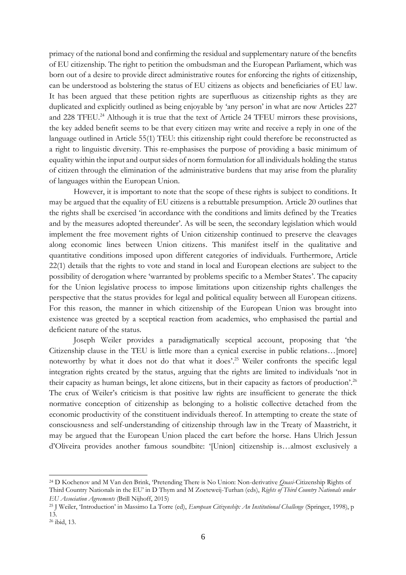primacy of the national bond and confirming the residual and supplementary nature of the benefits of EU citizenship. The right to petition the ombudsman and the European Parliament, which was born out of a desire to provide direct administrative routes for enforcing the rights of citizenship, can be understood as bolstering the status of EU citizens as objects and beneficiaries of EU law. It has been argued that these petition rights are superfluous as citizenship rights as they are duplicated and explicitly outlined as being enjoyable by 'any person' in what are now Articles 227 and 228 TFEU.<sup>24</sup> Although it is true that the text of Article 24 TFEU mirrors these provisions, the key added benefit seems to be that every citizen may write and receive a reply in one of the language outlined in Article 55(1) TEU: this citizenship right could therefore be reconstructed as a right to linguistic diversity. This re-emphasises the purpose of providing a basic minimum of equality within the input and output sides of norm formulation for all individuals holding the status of citizen through the elimination of the administrative burdens that may arise from the plurality of languages within the European Union.

However, it is important to note that the scope of these rights is subject to conditions. It may be argued that the equality of EU citizens is a rebuttable presumption. Article 20 outlines that the rights shall be exercised 'in accordance with the conditions and limits defined by the Treaties and by the measures adopted thereunder'. As will be seen, the secondary legislation which would implement the free movement rights of Union citizenship continued to preserve the cleavages along economic lines between Union citizens. This manifest itself in the qualitative and quantitative conditions imposed upon different categories of individuals. Furthermore, Article 22(1) details that the rights to vote and stand in local and European elections are subject to the possibility of derogation where 'warranted by problems specific to a Member States'. The capacity for the Union legislative process to impose limitations upon citizenship rights challenges the perspective that the status provides for legal and political equality between all European citizens. For this reason, the manner in which citizenship of the European Union was brought into existence was greeted by a sceptical reaction from academics, who emphasised the partial and deficient nature of the status.

Joseph Weiler provides a paradigmatically sceptical account, proposing that 'the Citizenship clause in the TEU is little more than a cynical exercise in public relations…[more] noteworthy by what it does not do that what it does'. <sup>25</sup> Weiler confronts the specific legal integration rights created by the status, arguing that the rights are limited to individuals 'not in their capacity as human beings, let alone citizens, but in their capacity as factors of production'.<sup>26</sup> The crux of Weiler's criticism is that positive law rights are insufficient to generate the thick normative conception of citizenship as belonging to a holistic collective detached from the economic productivity of the constituent individuals thereof. In attempting to create the state of consciousness and self-understanding of citizenship through law in the Treaty of Maastricht, it may be argued that the European Union placed the cart before the horse. Hans Ulrich Jessun d'Oliveira provides another famous soundbite: '[Union] citizenship is…almost exclusively a

<sup>24</sup> D Kochenov and M Van den Brink, 'Pretending There is No Union: Non-derivative *Quasi*-Citizenship Rights of Third Country Nationals in the EU' in D Thym and M Zoeteweij-Turhan (eds), *Rights of Third Country Nationals under EU Association Agreements* (Brill Nijhoff, 2015)

<sup>25</sup> J Weiler, 'Introduction' in Massimo La Torre (ed), *European Citizenship: An Institutional Challenge* (Springer, 1998), p 13.

<sup>26</sup> ibid, 13.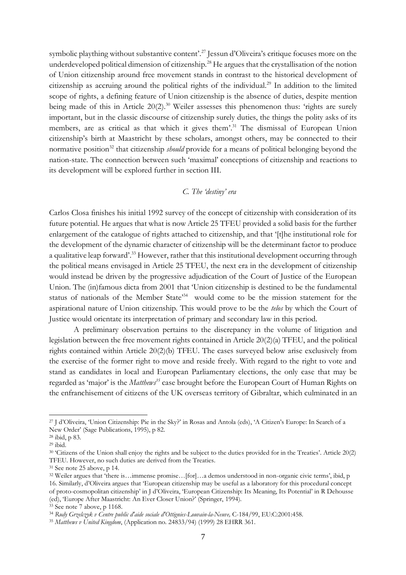symbolic plaything without substantive content'. <sup>27</sup> Jessun d'Oliveira's critique focuses more on the underdeveloped political dimension of citizenship.<sup>28</sup> He argues that the crystallisation of the notion of Union citizenship around free movement stands in contrast to the historical development of citizenship as accruing around the political rights of the individual.<sup>29</sup> In addition to the limited scope of rights, a defining feature of Union citizenship is the absence of duties, despite mention being made of this in Article  $20(2).^{30}$  Weiler assesses this phenomenon thus: 'rights are surely important, but in the classic discourse of citizenship surely duties, the things the polity asks of its members, are as critical as that which it gives them'. <sup>31</sup> The dismissal of European Union citizenship's birth at Maastricht by these scholars, amongst others, may be connected to their normative position<sup>32</sup> that citizenship *should* provide for a means of political belonging beyond the nation-state. The connection between such 'maximal' conceptions of citizenship and reactions to its development will be explored further in section III.

#### *C. The 'destiny' era*

Carlos Closa finishes his initial 1992 survey of the concept of citizenship with consideration of its future potential. He argues that what is now Article 25 TFEU provided a solid basis for the further enlargement of the catalogue of rights attached to citizenship, and that '[t]he institutional role for the development of the dynamic character of citizenship will be the determinant factor to produce a qualitative leap forward'.<sup>33</sup> However, rather that this institutional development occurring through the political means envisaged in Article 25 TFEU, the next era in the development of citizenship would instead be driven by the progressive adjudication of the Court of Justice of the European Union. The (in)famous dicta from 2001 that 'Union citizenship is destined to be the fundamental status of nationals of the Member State<sup>34</sup> would come to be the mission statement for the aspirational nature of Union citizenship. This would prove to be the *telos* by which the Court of Justice would orientate its interpretation of primary and secondary law in this period.

A preliminary observation pertains to the discrepancy in the volume of litigation and legislation between the free movement rights contained in Article 20(2)(a) TFEU, and the political rights contained within Article 20(2)(b) TFEU. The cases surveyed below arise exclusively from the exercise of the former right to move and reside freely. With regard to the right to vote and stand as candidates in local and European Parliamentary elections, the only case that may be regarded as 'major' is the *Matthews<sup>35</sup>* case brought before the European Court of Human Rights on the enfranchisement of citizens of the UK overseas territory of Gibraltar, which culminated in an

<sup>27</sup> J d'Oliveira, 'Union Citizenship: Pie in the Sky?' in Rosas and Antola (eds), 'A Citizen's Europe: In Search of a New Order' (Sage Publications, 1995), p 82.

<sup>28</sup> ibid, p 83.

<sup>29</sup> ibid.

<sup>30</sup> 'Citizens of the Union shall enjoy the rights and be subject to the duties provided for in the Treaties'. Article 20(2) TFEU. However, no such duties are derived from the Treaties.

<sup>31</sup> See note 25 above, p 14.

<sup>32</sup> Weiler argues that 'there is…immense promise…[for]…a demos understood in non-organic civic terms', ibid, p 16. Similarly, d'Oliveira argues that 'European citizenship may be useful as a laboratory for this procedural concept of proto-cosmopolitan citizenship' in J d'Oliveira, 'European Citizenship: Its Meaning, Its Potential' in R Dehousse (ed), 'Europe After Maastricht: An Ever Closer Union?' (Springer, 1994).

<sup>33</sup> See note 7 above, p 1168.

<sup>34</sup> *Rudy Grzelczyk v Centre public d'aide sociale d'Ottignies-Louvain-la-Neuve,* C-184/99, EU:C:2001:458.

<sup>35</sup> *Matthews v United Kingdom*, (Application no. 24833/94) (1999) 28 EHRR 361.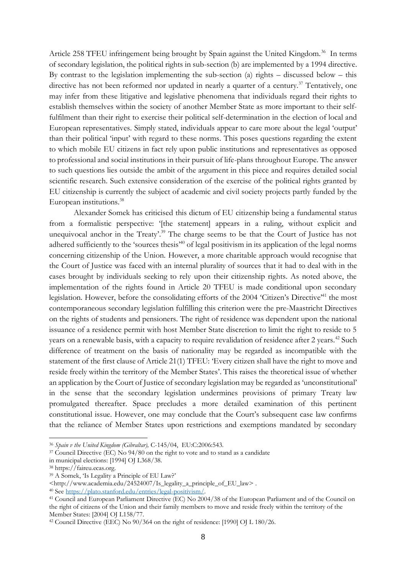Article 258 TFEU infringement being brought by Spain against the United Kingdom.<sup>36</sup> In terms of secondary legislation, the political rights in sub-section (b) are implemented by a 1994 directive. By contrast to the legislation implementing the sub-section (a) rights  $-$  discussed below  $-$  this directive has not been reformed nor updated in nearly a quarter of a century.<sup>37</sup> Tentatively, one may infer from these litigative and legislative phenomena that individuals regard their rights to establish themselves within the society of another Member State as more important to their selffulfilment than their right to exercise their political self-determination in the election of local and European representatives. Simply stated, individuals appear to care more about the legal 'output' than their political 'input' with regard to these norms. This poses questions regarding the extent to which mobile EU citizens in fact rely upon public institutions and representatives as opposed to professional and social institutions in their pursuit of life-plans throughout Europe. The answer to such questions lies outside the ambit of the argument in this piece and requires detailed social scientific research. Such extensive consideration of the exercise of the political rights granted by EU citizenship is currently the subject of academic and civil society projects partly funded by the European institutions.<sup>38</sup>

Alexander Somek has criticised this dictum of EU citizenship being a fundamental status from a formalistic perspective: '[the statement] appears in a ruling, without explicit and unequivocal anchor in the Treaty'.<sup>39</sup> The charge seems to be that the Court of Justice has not adhered sufficiently to the 'sources thesis<sup>240</sup> of legal positivism in its application of the legal norms concerning citizenship of the Union. However, a more charitable approach would recognise that the Court of Justice was faced with an internal plurality of sources that it had to deal with in the cases brought by individuals seeking to rely upon their citizenship rights. As noted above, the implementation of the rights found in Article 20 TFEU is made conditional upon secondary legislation. However, before the consolidating efforts of the 2004 'Citizen's Directive'<sup>41</sup> the most contemporaneous secondary legislation fulfilling this criterion were the pre-Maastricht Directives on the rights of students and pensioners. The right of residence was dependent upon the national issuance of a residence permit with host Member State discretion to limit the right to reside to 5 years on a renewable basis, with a capacity to require revalidation of residence after 2 years.<sup>42</sup> Such difference of treatment on the basis of nationality may be regarded as incompatible with the statement of the first clause of Article 21(1) TFEU: 'Every citizen shall have the right to move and reside freely within the territory of the Member States'. This raises the theoretical issue of whether an application by the Court of Justice of secondary legislation may be regarded as 'unconstitutional' in the sense that the secondary legislation undermines provisions of primary Treaty law promulgated thereafter. Space precludes a more detailed examination of this pertinent constitutional issue. However, one may conclude that the Court's subsequent case law confirms that the reliance of Member States upon restrictions and exemptions mandated by secondary

<sup>36</sup> *Spain v the United Kingdom (Gibraltar),* C-145/04, EU:C:2006:543.

<sup>&</sup>lt;sup>37</sup> Council Directive (EC) No 94/80 on the right to vote and to stand as a candidate

in municipal elections: [1994] OJ L368/38.

<sup>38</sup> https://faireu.ecas.org.

<sup>39</sup> A Somek, 'Is Legality a Principle of EU Law?'

<sup>&</sup>lt;http://www.academia.edu/24524007/Is\_legality\_a\_principle\_of\_EU\_law> .

<sup>40</sup> See https://plato.stanford.edu/entries/legal-positivism/.

<sup>41</sup> Council and European Parliament Directive (EC) No 2004/38 of the European Parliament and of the Council on the right of citizens of the Union and their family members to move and reside freely within the territory of the Member States: [2004] OJ L158/77.

<sup>42</sup> Council Directive (EEC) No 90/364 on the right of residence: [1990] OJ L 180/26.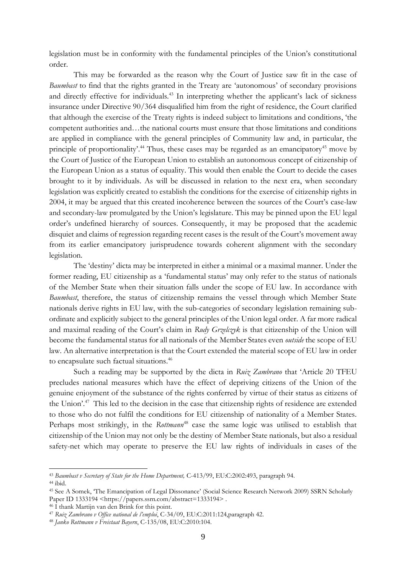legislation must be in conformity with the fundamental principles of the Union's constitutional order.

This may be forwarded as the reason why the Court of Justice saw fit in the case of *Baumbast* to find that the rights granted in the Treaty are 'autonomous' of secondary provisions and directly effective for individuals.<sup>43</sup> In interpreting whether the applicant's lack of sickness insurance under Directive 90/364 disqualified him from the right of residence, the Court clarified that although the exercise of the Treaty rights is indeed subject to limitations and conditions, 'the competent authorities and…the national courts must ensure that those limitations and conditions are applied in compliance with the general principles of Community law and, in particular, the principle of proportionality'.<sup>44</sup> Thus, these cases may be regarded as an emancipatory<sup>45</sup> move by the Court of Justice of the European Union to establish an autonomous concept of citizenship of the European Union as a status of equality. This would then enable the Court to decide the cases brought to it by individuals. As will be discussed in relation to the next era, when secondary legislation was explicitly created to establish the conditions for the exercise of citizenship rights in 2004, it may be argued that this created incoherence between the sources of the Court's case-law and secondary-law promulgated by the Union's legislature. This may be pinned upon the EU legal order's undefined hierarchy of sources. Consequently, it may be proposed that the academic disquiet and claims of regression regarding recent cases is the result of the Court's movement away from its earlier emancipatory jurisprudence towards coherent alignment with the secondary legislation.

The 'destiny' dicta may be interpreted in either a minimal or a maximal manner. Under the former reading, EU citizenship as a 'fundamental status' may only refer to the status of nationals of the Member State when their situation falls under the scope of EU law. In accordance with *Baumbast*, therefore, the status of citizenship remains the vessel through which Member State nationals derive rights in EU law, with the sub-categories of secondary legislation remaining subordinate and explicitly subject to the general principles of the Union legal order. A far more radical and maximal reading of the Court's claim in *Rudy Grzelczyk* is that citizenship of the Union will become the fundamental status for all nationals of the Member States even *outside* the scope of EU law. An alternative interpretation is that the Court extended the material scope of EU law in order to encapsulate such factual situations.<sup>46</sup>

Such a reading may be supported by the dicta in *Ruiz Zambrano* that 'Article 20 TFEU precludes national measures which have the effect of depriving citizens of the Union of the genuine enjoyment of the substance of the rights conferred by virtue of their status as citizens of the Union'. 47 This led to the decision in the case that citizenship rights of residence are extended to those who do not fulfil the conditions for EU citizenship of nationality of a Member States. Perhaps most strikingly, in the *Rottmann*<sup>48</sup> case the same logic was utilised to establish that citizenship of the Union may not only be the destiny of Member State nationals, but also a residual safety-net which may operate to preserve the EU law rights of individuals in cases of the

<sup>43</sup> *Baumbast v Secretary of State for the Home Department,* C-413/99, EU:C:2002:493, paragraph 94.

 $44$  ibid.

<sup>45</sup> See A Somek, 'The Emancipation of Legal Dissonance' (Social Science Research Network 2009) SSRN Scholarly Paper ID 1333194 <https://papers.ssrn.com/abstract=1333194>.

<sup>46</sup> I thank Martijn van den Brink for this point.

<sup>47</sup> *Ruiz Zambrano v Office national de l'emploi*, C-34/09, EU:C:2011:124,paragraph 42.

<sup>48</sup> *Janko Rottmann v Freistaat Bayern*, C-135/08, EU:C:2010:104.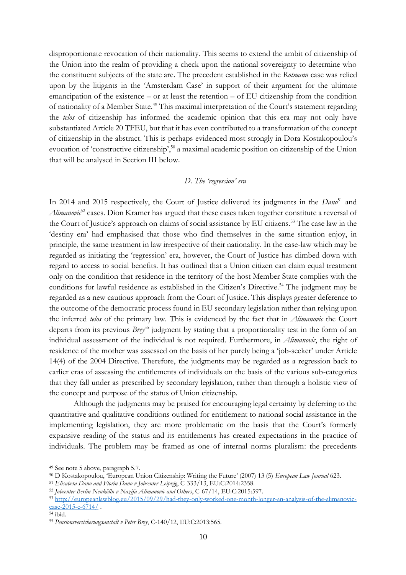disproportionate revocation of their nationality. This seems to extend the ambit of citizenship of the Union into the realm of providing a check upon the national sovereignty to determine who the constituent subjects of the state are. The precedent established in the *Rotmann* case was relied upon by the litigants in the 'Amsterdam Case' in support of their argument for the ultimate emancipation of the existence – or at least the retention – of EU citizenship from the condition of nationality of a Member State. <sup>49</sup> This maximal interpretation of the Court's statement regarding the *telos* of citizenship has informed the academic opinion that this era may not only have substantiated Article 20 TFEU, but that it has even contributed to a transformation of the concept of citizenship in the abstract. This is perhaps evidenced most strongly in Dora Kostakopoulou's evocation of 'constructive citizenship',<sup>50</sup> a maximal academic position on citizenship of the Union that will be analysed in Section III below.

#### *D. The 'regression' era*

In 2014 and 2015 respectively, the Court of Justice delivered its judgments in the *Dano*<sup>51</sup> and *Alimanovic*<sup>52</sup> cases. Dion Kramer has argued that these cases taken together constitute a reversal of the Court of Justice's approach on claims of social assistance by EU citizens.<sup>53</sup> The case law in the 'destiny era' had emphasised that those who find themselves in the same situation enjoy, in principle, the same treatment in law irrespective of their nationality. In the case-law which may be regarded as initiating the 'regression' era, however, the Court of Justice has climbed down with regard to access to social benefits. It has outlined that a Union citizen can claim equal treatment only on the condition that residence in the territory of the host Member State complies with the conditions for lawful residence as established in the Citizen's Directive.<sup>54</sup> The judgment may be regarded as a new cautious approach from the Court of Justice. This displays greater deference to the outcome of the democratic process found in EU secondary legislation rather than relying upon the inferred *telos* of the primary law. This is evidenced by the fact that in *Alimanovic* the Court departs from its previous *Brey*<sup>55</sup> judgment by stating that a proportionality test in the form of an individual assessment of the individual is not required. Furthermore, in *Alimanovic*, the right of residence of the mother was assessed on the basis of her purely being a 'job-seeker' under Article 14(4) of the 2004 Directive. Therefore, the judgments may be regarded as a regression back to earlier eras of assessing the entitlements of individuals on the basis of the various sub-categories that they fall under as prescribed by secondary legislation, rather than through a holistic view of the concept and purpose of the status of Union citizenship.

Although the judgments may be praised for encouraging legal certainty by deferring to the quantitative and qualitative conditions outlined for entitlement to national social assistance in the implementing legislation, they are more problematic on the basis that the Court's formerly expansive reading of the status and its entitlements has created expectations in the practice of individuals. The problem may be framed as one of internal norms pluralism: the precedents

<sup>49</sup> See note 5 above, paragraph 5.7.

<sup>50</sup> D Kostakopoulou, 'European Union Citizenship: Writing the Future' (2007) 13 (5) *European Law Journal* 623.

<sup>51</sup> *Elisabeta Dano and Florin Dano v Jobcenter Leipzig*, C-333/13, EU:C:2014:2358.

<sup>52</sup> *Jobcenter Berlin Neukölln v Nazifa Alimanovic and Others*, C-67/14, EU:C:2015:597.

<sup>53</sup> [http://europeanlawblog.eu/2015/09/29/had-they-only-worked-one-month-longer-an-analysis-of-the-alimanovic](http://europeanlawblog.eu/2015/09/29/had-they-only-worked-one-month-longer-an-analysis-of-the-alimanovic-case-2015-c-6714/) $case-2015-c-6714/$ .

<sup>54</sup> ibid.

<sup>55</sup> *Pensionsversicherungsanstalt v Peter Brey*, C-140/12, EU:C:2013:565.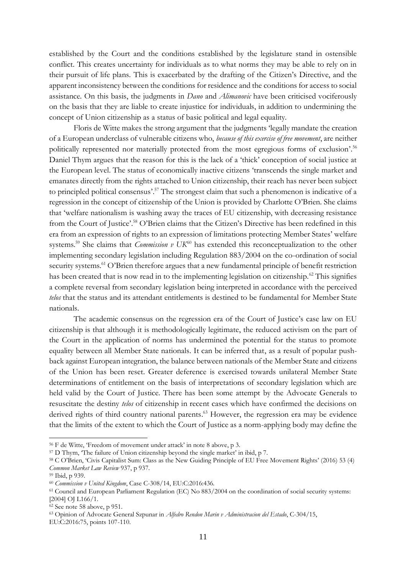established by the Court and the conditions established by the legislature stand in ostensible conflict. This creates uncertainty for individuals as to what norms they may be able to rely on in their pursuit of life plans. This is exacerbated by the drafting of the Citizen's Directive, and the apparent inconsistency between the conditions for residence and the conditions for access to social assistance. On this basis, the judgments in *Dano* and *Alimanovic* have been criticised vociferously on the basis that they are liable to create injustice for individuals, in addition to undermining the concept of Union citizenship as a status of basic political and legal equality.

Floris de Witte makes the strong argument that the judgments 'legally mandate the creation of a European underclass of vulnerable citizens who, *because of this exercise of free movement*, are neither politically represented nor materially protected from the most egregious forms of exclusion'.<sup>56</sup> Daniel Thym argues that the reason for this is the lack of a 'thick' conception of social justice at the European level. The status of economically inactive citizens 'transcends the single market and emanates directly from the rights attached to Union citizenship, their reach has never been subject to principled political consensus'. <sup>57</sup> The strongest claim that such a phenomenon is indicative of a regression in the concept of citizenship of the Union is provided by Charlotte O'Brien. She claims that 'welfare nationalism is washing away the traces of EU citizenship, with decreasing resistance from the Court of Justice'.<sup>58</sup> O'Brien claims that the Citizen's Directive has been redefined in this era from an expression of rights to an expression of limitations protecting Member States' welfare systems.<sup>59</sup> She claims that *Commission v UK*<sup>60</sup> has extended this reconceptualization to the other implementing secondary legislation including Regulation 883/2004 on the co-ordination of social security systems.<sup>61</sup> O'Brien therefore argues that a new fundamental principle of benefit restriction has been created that is now read in to the implementing legislation on citizenship.<sup>62</sup> This signifies a complete reversal from secondary legislation being interpreted in accordance with the perceived *telos* that the status and its attendant entitlements is destined to be fundamental for Member State nationals.

The academic consensus on the regression era of the Court of Justice's case law on EU citizenship is that although it is methodologically legitimate, the reduced activism on the part of the Court in the application of norms has undermined the potential for the status to promote equality between all Member State nationals. It can be inferred that, as a result of popular pushback against European integration, the balance between nationals of the Member State and citizens of the Union has been reset. Greater deference is exercised towards unilateral Member State determinations of entitlement on the basis of interpretations of secondary legislation which are held valid by the Court of Justice. There has been some attempt by the Advocate Generals to resuscitate the destiny *telos* of citizenship in recent cases which have confirmed the decisions on derived rights of third country national parents. <sup>63</sup> However, the regression era may be evidence that the limits of the extent to which the Court of Justice as a norm-applying body may define the

<sup>56</sup> F de Witte, 'Freedom of movement under attack' in note 8 above, p 3.

<sup>57</sup> D Thym, 'The failure of Union citizenship beyond the single market' in ibid, p 7.

<sup>58</sup> C O'Brien, 'Civis Capitalist Sum: Class as the New Guiding Principle of EU Free Movement Rights' (2016) 53 (4) *Common Market Law Review* 937, p 937.

<sup>59</sup> Ibid, p 939.

<sup>60</sup> *Commission v United Kingdom*, Case C-308/14, EU:C:2016:436.

<sup>61</sup> Council and European Parliament Regulation (EC) No 883/2004 on the coordination of social security systems: [2004] OJ L166/1.

<sup>62</sup> See note 58 above, p 951.

<sup>63</sup> Opinion of Advocate General Szpunar in *Alfedro Rendon Marin v Administracion del Estado*, C-304/15, EU:C:2016:75, points 107-110.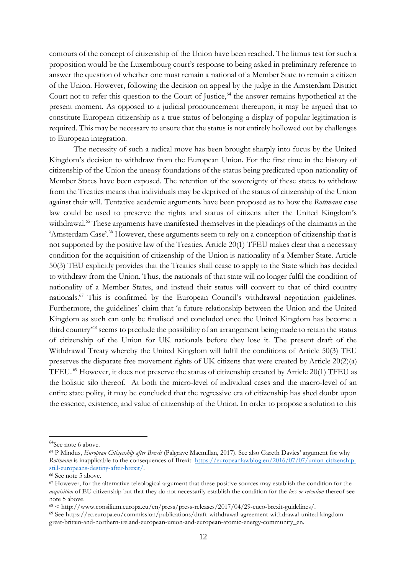contours of the concept of citizenship of the Union have been reached. The litmus test for such a proposition would be the Luxembourg court's response to being asked in preliminary reference to answer the question of whether one must remain a national of a Member State to remain a citizen of the Union. However, following the decision on appeal by the judge in the Amsterdam District Court not to refer this question to the Court of Justice,<sup>64</sup> the answer remains hypothetical at the present moment. As opposed to a judicial pronouncement thereupon, it may be argued that to constitute European citizenship as a true status of belonging a display of popular legitimation is required. This may be necessary to ensure that the status is not entirely hollowed out by challenges to European integration.

The necessity of such a radical move has been brought sharply into focus by the United Kingdom's decision to withdraw from the European Union. For the first time in the history of citizenship of the Union the uneasy foundations of the status being predicated upon nationality of Member States have been exposed. The retention of the sovereignty of these states to withdraw from the Treaties means that individuals may be deprived of the status of citizenship of the Union against their will. Tentative academic arguments have been proposed as to how the *Rottmann* case law could be used to preserve the rights and status of citizens after the United Kingdom's withdrawal.<sup>65</sup> These arguments have manifested themselves in the pleadings of the claimants in the 'Amsterdam Case'.<sup>66</sup> However, these arguments seem to rely on a conception of citizenship that is not supported by the positive law of the Treaties. Article 20(1) TFEU makes clear that a necessary condition for the acquisition of citizenship of the Union is nationality of a Member State. Article 50(3) TEU explicitly provides that the Treaties shall cease to apply to the State which has decided to withdraw from the Union. Thus, the nationals of that state will no longer fulfil the condition of nationality of a Member States, and instead their status will convert to that of third country nationals.<sup>67</sup> This is confirmed by the European Council's withdrawal negotiation guidelines. Furthermore, the guidelines' claim that 'a future relationship between the Union and the United Kingdom as such can only be finalised and concluded once the United Kingdom has become a third country<sup>168</sup> seems to preclude the possibility of an arrangement being made to retain the status of citizenship of the Union for UK nationals before they lose it. The present draft of the Withdrawal Treaty whereby the United Kingdom will fulfil the conditions of Article 50(3) TEU preserves the disparate free movement rights of UK citizens that were created by Article 20(2)(a) TFEU. <sup>69</sup> However, it does not preserve the status of citizenship created by Article 20(1) TFEU as the holistic silo thereof. At both the micro-level of individual cases and the macro-level of an entire state polity, it may be concluded that the regressive era of citizenship has shed doubt upon the essence, existence, and value of citizenship of the Union. In order to propose a solution to this

<sup>&</sup>lt;sup>64</sup>See note 6 above.

<sup>65</sup> P Mindus, *European Citizenship after Brexit* (Palgrave Macmillan, 2017). See also Gareth Davies' argument for why *Rottmann* is inapplicable to the consequences of Brexit [https://europeanlawblog.eu/2016/07/07/union-citizenship](https://europeanlawblog.eu/2016/07/07/union-citizenship-still-europeans-destiny-after-brexit/)[still-europeans-destiny-after-brexit/.](https://europeanlawblog.eu/2016/07/07/union-citizenship-still-europeans-destiny-after-brexit/)

<sup>66</sup> See note 5 above.

<sup>&</sup>lt;sup>67</sup> However, for the alternative teleological argument that these positive sources may establish the condition for the *acquisition* of EU citizenship but that they do not necessarily establish the condition for the *loss or retention* thereof see note 5 above.

<sup>68</sup> < http://www.consilium.europa.eu/en/press/press-releases/2017/04/29-euco-brexit-guidelines/.

<sup>69</sup> See https://ec.europa.eu/commission/publications/draft-withdrawal-agreement-withdrawal-united-kingdomgreat-britain-and-northern-ireland-european-union-and-european-atomic-energy-community\_en.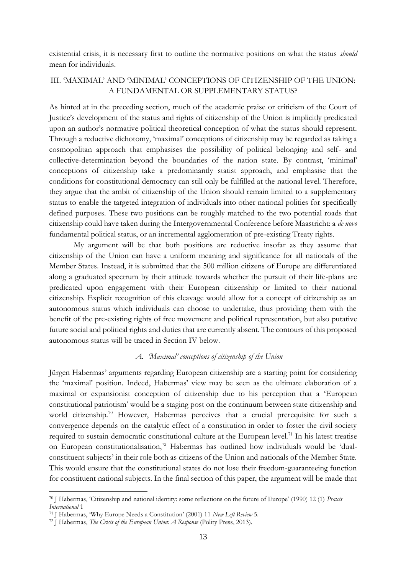existential crisis, it is necessary first to outline the normative positions on what the status *should*  mean for individuals.

# III. 'MAXIMAL' AND 'MINIMAL' CONCEPTIONS OF CITIZENSHIP OF THE UNION: A FUNDAMENTAL OR SUPPLEMENTARY STATUS?

As hinted at in the preceding section, much of the academic praise or criticism of the Court of Justice's development of the status and rights of citizenship of the Union is implicitly predicated upon an author's normative political theoretical conception of what the status should represent. Through a reductive dichotomy, 'maximal' conceptions of citizenship may be regarded as taking a cosmopolitan approach that emphasises the possibility of political belonging and self- and collective-determination beyond the boundaries of the nation state. By contrast, 'minimal' conceptions of citizenship take a predominantly statist approach, and emphasise that the conditions for constitutional democracy can still only be fulfilled at the national level. Therefore, they argue that the ambit of citizenship of the Union should remain limited to a supplementary status to enable the targeted integration of individuals into other national polities for specifically defined purposes. These two positions can be roughly matched to the two potential roads that citizenship could have taken during the Intergovernmental Conference before Maastricht: a *de novo*  fundamental political status, or an incremental agglomeration of pre-existing Treaty rights.

My argument will be that both positions are reductive insofar as they assume that citizenship of the Union can have a uniform meaning and significance for all nationals of the Member States. Instead, it is submitted that the 500 million citizens of Europe are differentiated along a graduated spectrum by their attitude towards whether the pursuit of their life-plans are predicated upon engagement with their European citizenship or limited to their national citizenship. Explicit recognition of this cleavage would allow for a concept of citizenship as an autonomous status which individuals can choose to undertake, thus providing them with the benefit of the pre-existing rights of free movement and political representation, but also putative future social and political rights and duties that are currently absent. The contours of this proposed autonomous status will be traced in Section IV below.

#### *A. 'Maximal' conceptions of citizenship of the Union*

Jürgen Habermas' arguments regarding European citizenship are a starting point for considering the 'maximal' position. Indeed, Habermas' view may be seen as the ultimate elaboration of a maximal or expansionist conception of citizenship due to his perception that a 'European constitutional patriotism' would be a staging post on the continuum between state citizenship and world citizenship.<sup>70</sup> However, Habermas perceives that a crucial prerequisite for such a convergence depends on the catalytic effect of a constitution in order to foster the civil society required to sustain democratic constitutional culture at the European level.<sup>71</sup> In his latest treatise on European constitutionalisation,<sup>72</sup> Habermas has outlined how individuals would be 'dualconstituent subjects' in their role both as citizens of the Union and nationals of the Member State. This would ensure that the constitutional states do not lose their freedom-guaranteeing function for constituent national subjects. In the final section of this paper, the argument will be made that

<sup>70</sup> J Habermas, 'Citizenship and national identity: some reflections on the future of Europe' (1990) 12 (1) *Praxis International* 1

<sup>71</sup> J Habermas, 'Why Europe Needs a Constitution' (2001) 11 *New Left Review* 5.

<sup>72</sup> J Habermas, *The Crisis of the European Union: A Response* (Polity Press, 2013).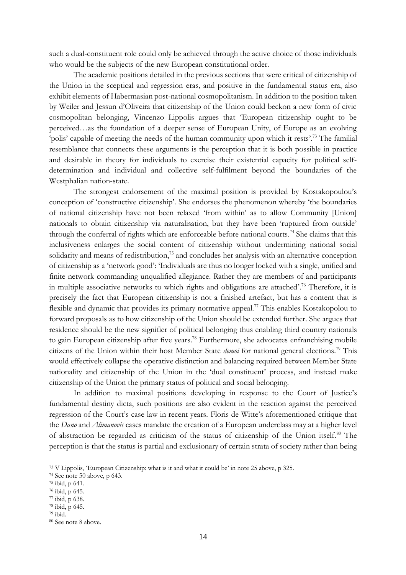such a dual-constituent role could only be achieved through the active choice of those individuals who would be the subjects of the new European constitutional order.

The academic positions detailed in the previous sections that were critical of citizenship of the Union in the sceptical and regression eras, and positive in the fundamental status era, also exhibit elements of Habermasian post-national cosmopolitanism. In addition to the position taken by Weiler and Jessun d'Oliveira that citizenship of the Union could beckon a new form of civic cosmopolitan belonging, Vincenzo Lippolis argues that 'European citizenship ought to be perceived…as the foundation of a deeper sense of European Unity, of Europe as an evolving 'polis' capable of meeting the needs of the human community upon which it rests'.<sup>73</sup> The familial resemblance that connects these arguments is the perception that it is both possible in practice and desirable in theory for individuals to exercise their existential capacity for political selfdetermination and individual and collective self-fulfilment beyond the boundaries of the Westphalian nation-state.

The strongest endorsement of the maximal position is provided by Kostakopoulou's conception of 'constructive citizenship'. She endorses the phenomenon whereby 'the boundaries of national citizenship have not been relaxed 'from within' as to allow Community [Union] nationals to obtain citizenship via naturalisation, but they have been 'ruptured from outside' through the conferral of rights which are enforceable before national courts.<sup>74</sup> She claims that this inclusiveness enlarges the social content of citizenship without undermining national social solidarity and means of redistribution,<sup>75</sup> and concludes her analysis with an alternative conception of citizenship as a 'network good': 'Individuals are thus no longer locked with a single, unified and finite network commanding unqualified allegiance. Rather they are members of and participants in multiple associative networks to which rights and obligations are attached'. <sup>76</sup> Therefore, it is precisely the fact that European citizenship is not a finished artefact, but has a content that is flexible and dynamic that provides its primary normative appeal.<sup>77</sup> This enables Kostakopolou to forward proposals as to how citizenship of the Union should be extended further. She argues that residence should be the new signifier of political belonging thus enabling third country nationals to gain European citizenship after five years. <sup>78</sup> Furthermore, she advocates enfranchising mobile citizens of the Union within their host Member State *demoi* for national general elections. <sup>79</sup> This would effectively collapse the operative distinction and balancing required between Member State nationality and citizenship of the Union in the 'dual constituent' process, and instead make citizenship of the Union the primary status of political and social belonging.

In addition to maximal positions developing in response to the Court of Justice's fundamental destiny dicta, such positions are also evident in the reaction against the perceived regression of the Court's case law in recent years. Floris de Witte's aforementioned critique that the *Dano* and *Alimanovic* cases mandate the creation of a European underclass may at a higher level of abstraction be regarded as criticism of the status of citizenship of the Union itself. <sup>80</sup> The perception is that the status is partial and exclusionary of certain strata of society rather than being

<sup>73</sup> V Lippolis, 'European Citizenship: what is it and what it could be' in note 25 above, p 325.

<sup>74</sup> See note 50 above, p 643.

<sup>75</sup> ibid, p 641.

<sup>76</sup> ibid, p 645.

<sup>77</sup> ibid, p 638.

<sup>78</sup> ibid, p 645.

<sup>79</sup> ibid.

<sup>80</sup> See note 8 above.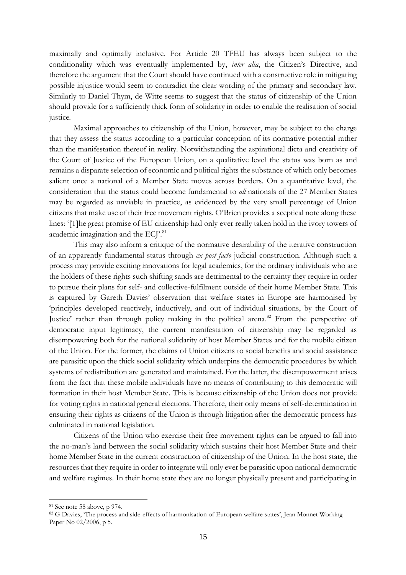maximally and optimally inclusive. For Article 20 TFEU has always been subject to the conditionality which was eventually implemented by, *inter alia*, the Citizen's Directive, and therefore the argument that the Court should have continued with a constructive role in mitigating possible injustice would seem to contradict the clear wording of the primary and secondary law. Similarly to Daniel Thym, de Witte seems to suggest that the status of citizenship of the Union should provide for a sufficiently thick form of solidarity in order to enable the realisation of social justice.

Maximal approaches to citizenship of the Union, however, may be subject to the charge that they assess the status according to a particular conception of its normative potential rather than the manifestation thereof in reality. Notwithstanding the aspirational dicta and creativity of the Court of Justice of the European Union, on a qualitative level the status was born as and remains a disparate selection of economic and political rights the substance of which only becomes salient once a national of a Member State moves across borders. On a quantitative level, the consideration that the status could become fundamental to *all* nationals of the 27 Member States may be regarded as unviable in practice, as evidenced by the very small percentage of Union citizens that make use of their free movement rights. O'Brien provides a sceptical note along these lines: '[T]he great promise of EU citizenship had only ever really taken hold in the ivory towers of academic imagination and the ECJ'.<sup>81</sup>

This may also inform a critique of the normative desirability of the iterative construction of an apparently fundamental status through *ex post facto* judicial construction. Although such a process may provide exciting innovations for legal academics, for the ordinary individuals who are the holders of these rights such shifting sands are detrimental to the certainty they require in order to pursue their plans for self- and collective-fulfilment outside of their home Member State. This is captured by Gareth Davies' observation that welfare states in Europe are harmonised by 'principles developed reactively, inductively, and out of individual situations, by the Court of Justice' rather than through policy making in the political arena.<sup>82</sup> From the perspective of democratic input legitimacy, the current manifestation of citizenship may be regarded as disempowering both for the national solidarity of host Member States and for the mobile citizen of the Union. For the former, the claims of Union citizens to social benefits and social assistance are parasitic upon the thick social solidarity which underpins the democratic procedures by which systems of redistribution are generated and maintained. For the latter, the disempowerment arises from the fact that these mobile individuals have no means of contributing to this democratic will formation in their host Member State. This is because citizenship of the Union does not provide for voting rights in national general elections. Therefore, their only means of self-determination in ensuring their rights as citizens of the Union is through litigation after the democratic process has culminated in national legislation.

Citizens of the Union who exercise their free movement rights can be argued to fall into the no-man's land between the social solidarity which sustains their host Member State and their home Member State in the current construction of citizenship of the Union. In the host state, the resources that they require in order to integrate will only ever be parasitic upon national democratic and welfare regimes. In their home state they are no longer physically present and participating in

<sup>81</sup> See note 58 above, p 974.

<sup>82</sup> G Davies, 'The process and side-effects of harmonisation of European welfare states', Jean Monnet Working Paper No 02/2006, p 5.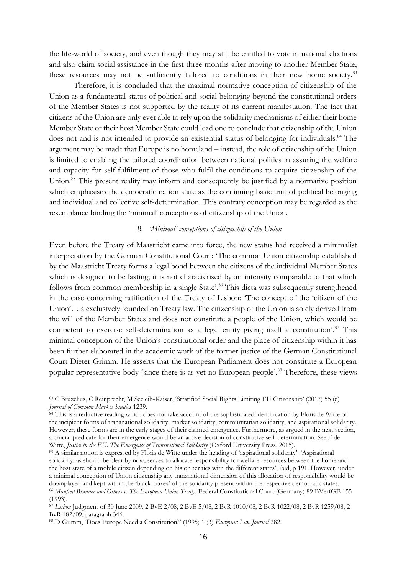the life-world of society, and even though they may still be entitled to vote in national elections and also claim social assistance in the first three months after moving to another Member State, these resources may not be sufficiently tailored to conditions in their new home society.<sup>83</sup>

Therefore, it is concluded that the maximal normative conception of citizenship of the Union as a fundamental status of political and social belonging beyond the constitutional orders of the Member States is not supported by the reality of its current manifestation. The fact that citizens of the Union are only ever able to rely upon the solidarity mechanisms of either their home Member State or their host Member State could lead one to conclude that citizenship of the Union does not and is not intended to provide an existential status of belonging for individuals.<sup>84</sup> The argument may be made that Europe is no homeland – instead, the role of citizenship of the Union is limited to enabling the tailored coordination between national polities in assuring the welfare and capacity for self-fulfilment of those who fulfil the conditions to acquire citizenship of the Union.<sup>85</sup> This present reality may inform and consequently be justified by a normative position which emphasises the democratic nation state as the continuing basic unit of political belonging and individual and collective self-determination. This contrary conception may be regarded as the resemblance binding the 'minimal' conceptions of citizenship of the Union.

## *B. 'Minimal' conceptions of citizenship of the Union*

Even before the Treaty of Maastricht came into force, the new status had received a minimalist interpretation by the German Constitutional Court: 'The common Union citizenship established by the Maastricht Treaty forms a legal bond between the citizens of the individual Member States which is designed to be lasting; it is not characterised by an intensity comparable to that which follows from common membership in a single State'.<sup>86</sup> This dicta was subsequently strengthened in the case concerning ratification of the Treaty of Lisbon: 'The concept of the 'citizen of the Union'…is exclusively founded on Treaty law. The citizenship of the Union is solely derived from the will of the Member States and does not constitute a people of the Union, which would be competent to exercise self-determination as a legal entity giving itself a constitution'.<sup>87</sup> This minimal conception of the Union's constitutional order and the place of citizenship within it has been further elaborated in the academic work of the former justice of the German Constitutional Court Dieter Grimm. He asserts that the European Parliament does not constitute a European popular representative body 'since there is as yet no European people'. <sup>88</sup> Therefore, these views

<sup>83</sup> C Bruzelius, C Reinprecht, M Seeleib-Kaiser, 'Stratified Social Rights Limiting EU Citizenship' (2017) 55 (6) *Journal of Common Market Studies* 1239.

<sup>&</sup>lt;sup>84</sup> This is a reductive reading which does not take account of the sophisticated identification by Floris de Witte of the incipient forms of transnational solidarity: market solidarity, communitarian solidarity, and aspirational solidarity. However, these forms are in the early stages of their claimed emergence. Furthermore, as argued in the next section, a crucial predicate for their emergence would be an active decision of constitutive self-determination. See F de Witte, *Justice in the EU: The Emergence of Transnational Solidarity* (Oxford University Press, 2015).

<sup>85</sup> A similar notion is expressed by Floris de Witte under the heading of 'aspirational solidarity': 'Aspirational solidarity, as should be clear by now, serves to allocate responsibility for welfare resources between the home and the host state of a mobile citizen depending on his or her ties with the different states', ibid, p 191. However, under a minimal conception of Union citizenship any transnational dimension of this allocation of responsibility would be downplayed and kept within the 'black-boxes' of the solidarity present within the respective democratic states. <sup>86</sup> *Manfred Brunner and Others v. The European Union Treaty*, Federal Constitutional Court (Germany) 89 BVerfGE 155 (1993).

<sup>87</sup> *Lisbon* Judgment of 30 June 2009*,* 2 BvE 2/08, 2 BvE 5/08, 2 BvR 1010/08, 2 BvR 1022/08, 2 BvR 1259/08, 2 BvR 182/09, paragraph 346.

<sup>88</sup> D Grimm, 'Does Europe Need a Constitution?' (1995) 1 (3) *European Law Journal* 282.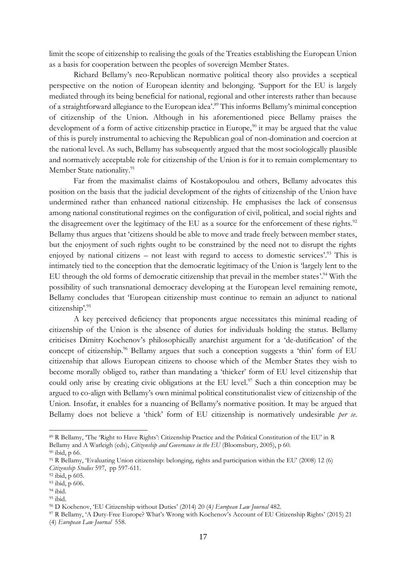limit the scope of citizenship to realising the goals of the Treaties establishing the European Union as a basis for cooperation between the peoples of sovereign Member States.

Richard Bellamy's neo-Republican normative political theory also provides a sceptical perspective on the notion of European identity and belonging. 'Support for the EU is largely mediated through its being beneficial for national, regional and other interests rather than because of a straightforward allegiance to the European idea'. <sup>89</sup> This informs Bellamy's minimal conception of citizenship of the Union. Although in his aforementioned piece Bellamy praises the development of a form of active citizenship practice in Europe,<sup>90</sup> it may be argued that the value of this is purely instrumental to achieving the Republican goal of non-domination and coercion at the national level. As such, Bellamy has subsequently argued that the most sociologically plausible and normatively acceptable role for citizenship of the Union is for it to remain complementary to Member State nationality.<sup>91</sup>

Far from the maximalist claims of Kostakopoulou and others, Bellamy advocates this position on the basis that the judicial development of the rights of citizenship of the Union have undermined rather than enhanced national citizenship. He emphasises the lack of consensus among national constitutional regimes on the configuration of civil, political, and social rights and the disagreement over the legitimacy of the EU as a source for the enforcement of these rights.<sup>92</sup> Bellamy thus argues that 'citizens should be able to move and trade freely between member states, but the enjoyment of such rights ought to be constrained by the need not to disrupt the rights enjoyed by national citizens – not least with regard to access to domestic services'.<sup>93</sup> This is intimately tied to the conception that the democratic legitimacy of the Union is 'largely lent to the EU through the old forms of democratic citizenship that prevail in the member states'.<sup>94</sup> With the possibility of such transnational democracy developing at the European level remaining remote, Bellamy concludes that 'European citizenship must continue to remain an adjunct to national citizenship'. 95

A key perceived deficiency that proponents argue necessitates this minimal reading of citizenship of the Union is the absence of duties for individuals holding the status. Bellamy criticises Dimitry Kochenov's philosophically anarchist argument for a 'de-dutification' of the concept of citizenship.<sup>96</sup> Bellamy argues that such a conception suggests a 'thin' form of EU citizenship that allows European citizens to choose which of the Member States they wish to become morally obliged to, rather than mandating a 'thicker' form of EU level citizenship that could only arise by creating civic obligations at the EU level.<sup>97</sup> Such a thin conception may be argued to co-align with Bellamy's own minimal political constitutionalist view of citizenship of the Union. Insofar, it enables for a nuancing of Bellamy's normative position. It may be argued that Bellamy does not believe a 'thick' form of EU citizenship is normatively undesirable *per se*.

<sup>89</sup> R Bellamy, 'The 'Right to Have Rights': Citizenship Practice and the Political Constitution of the EU' in R Bellamy and A Warleigh (eds), *Citizenship and Governance in the EU* (Bloomsbury, 2005), p 60.

<sup>90</sup> ibid, p 66.

<sup>91</sup> R Bellamy, 'Evaluating Union citizenship: belonging, rights and participation within the EU' (2008) 12 (6) *Citizenship Studies* 597, pp 597-611.

<sup>92</sup> ibid, p 605.

<sup>93</sup> ibid, p 606.

<sup>94</sup> ibid.

 $95$  ibid.

<sup>96</sup> D Kochenov, 'EU Citizenship without Duties' (2014) 20 (4*) European Law Journal* 482.

<sup>97</sup> R Bellamy, 'A Duty-Free Europe? What's Wrong with Kochenov's Account of EU Citizenship Rights' (2015) 21 (4) *European Law Journal* 558.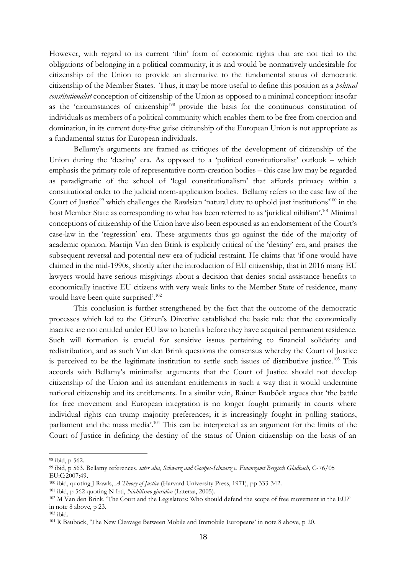However, with regard to its current 'thin' form of economic rights that are not tied to the obligations of belonging in a political community, it is and would be normatively undesirable for citizenship of the Union to provide an alternative to the fundamental status of democratic citizenship of the Member States. Thus, it may be more useful to define this position as a *political constitutionalist* conception of citizenship of the Union as opposed to a minimal conception: insofar as the 'circumstances of citizenship'<sup>98</sup> provide the basis for the continuous constitution of individuals as members of a political community which enables them to be free from coercion and domination, in its current duty-free guise citizenship of the European Union is not appropriate as a fundamental status for European individuals.

Bellamy's arguments are framed as critiques of the development of citizenship of the Union during the 'destiny' era. As opposed to a 'political constitutionalist' outlook – which emphasis the primary role of representative norm-creation bodies – this case law may be regarded as paradigmatic of the school of 'legal constitutionalism' that affords primacy within a constitutional order to the judicial norm-application bodies. Bellamy refers to the case law of the Court of Justice<sup>99</sup> which challenges the Rawlsian 'natural duty to uphold just institutions<sup>'100</sup> in the host Member State as corresponding to what has been referred to as 'juridical nihilism'.<sup>101</sup> Minimal conceptions of citizenship of the Union have also been espoused as an endorsement of the Court's case-law in the 'regression' era. These arguments thus go against the tide of the majority of academic opinion. Martijn Van den Brink is explicitly critical of the 'destiny' era, and praises the subsequent reversal and potential new era of judicial restraint. He claims that 'if one would have claimed in the mid-1990s, shortly after the introduction of EU citizenship, that in 2016 many EU lawyers would have serious misgivings about a decision that denies social assistance benefits to economically inactive EU citizens with very weak links to the Member State of residence, many would have been quite surprised'. 102

This conclusion is further strengthened by the fact that the outcome of the democratic processes which led to the Citizen's Directive established the basic rule that the economically inactive are not entitled under EU law to benefits before they have acquired permanent residence. Such will formation is crucial for sensitive issues pertaining to financial solidarity and redistribution, and as such Van den Brink questions the consensus whereby the Court of Justice is perceived to be the legitimate institution to settle such issues of distributive justice.<sup>103</sup> This accords with Bellamy's minimalist arguments that the Court of Justice should not develop citizenship of the Union and its attendant entitlements in such a way that it would undermine national citizenship and its entitlements. In a similar vein, Rainer Bauböck argues that 'the battle for free movement and European integration is no longer fought primarily in courts where individual rights can trump majority preferences; it is increasingly fought in polling stations, parliament and the mass media<sup>2.104</sup> This can be interpreted as an argument for the limits of the Court of Justice in defining the destiny of the status of Union citizenship on the basis of an

<sup>98</sup> ibid, p 562.

<sup>99</sup> ibid, p 563. Bellamy references, *inter alia*, *Schwarz and Gootjes-Schwarz v. Finanzamt Bergisch Gladbach,* C-76/05 EU:C:2007:49.

<sup>100</sup> ibid, quoting J Rawls, *A Theory of Justice* (Harvard University Press, 1971), pp 333-342.

<sup>101</sup> ibid, p 562 quoting N Irti, *Nichilismo giuridico* (Laterza, 2005).

<sup>102</sup> M Van den Brink, 'The Court and the Legislators: Who should defend the scope of free movement in the EU?' in note 8 above, p 23.

<sup>103</sup> ibid.

<sup>104</sup> R Bauböck, 'The New Cleavage Between Mobile and Immobile Europeans' in note 8 above, p 20.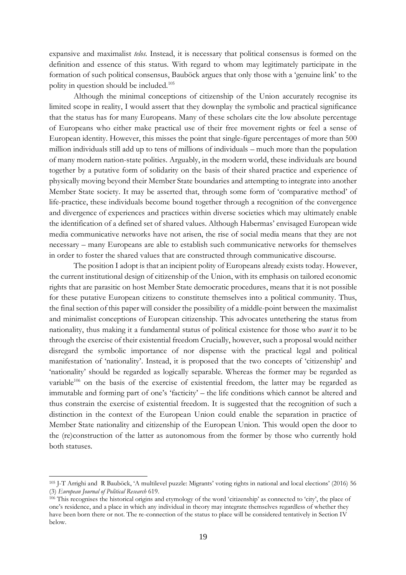expansive and maximalist *telos*. Instead, it is necessary that political consensus is formed on the definition and essence of this status. With regard to whom may legitimately participate in the formation of such political consensus, Bauböck argues that only those with a 'genuine link' to the polity in question should be included.<sup>105</sup>

Although the minimal conceptions of citizenship of the Union accurately recognise its limited scope in reality, I would assert that they downplay the symbolic and practical significance that the status has for many Europeans. Many of these scholars cite the low absolute percentage of Europeans who either make practical use of their free movement rights or feel a sense of European identity. However, this misses the point that single-figure percentages of more than 500 million individuals still add up to tens of millions of individuals – much more than the population of many modern nation-state polities. Arguably, in the modern world, these individuals are bound together by a putative form of solidarity on the basis of their shared practice and experience of physically moving beyond their Member State boundaries and attempting to integrate into another Member State society. It may be asserted that, through some form of 'comparative method' of life-practice, these individuals become bound together through a recognition of the convergence and divergence of experiences and practices within diverse societies which may ultimately enable the identification of a defined set of shared values. Although Habermas' envisaged European wide media communicative networks have not arisen, the rise of social media means that they are not necessary – many Europeans are able to establish such communicative networks for themselves in order to foster the shared values that are constructed through communicative discourse.

The position I adopt is that an incipient polity of Europeans already exists today. However, the current institutional design of citizenship of the Union, with its emphasis on tailored economic rights that are parasitic on host Member State democratic procedures, means that it is not possible for these putative European citizens to constitute themselves into a political community. Thus, the final section of this paper will consider the possibility of a middle-point between the maximalist and minimalist conceptions of European citizenship. This advocates untethering the status from nationality, thus making it a fundamental status of political existence for those who *want* it to be through the exercise of their existential freedom Crucially, however, such a proposal would neither disregard the symbolic importance of nor dispense with the practical legal and political manifestation of 'nationality'. Instead, it is proposed that the two concepts of 'citizenship' and 'nationality' should be regarded as logically separable. Whereas the former may be regarded as variable<sup>106</sup> on the basis of the exercise of existential freedom, the latter may be regarded as immutable and forming part of one's 'facticity' – the life conditions which cannot be altered and thus constrain the exercise of existential freedom. It is suggested that the recognition of such a distinction in the context of the European Union could enable the separation in practice of Member State nationality and citizenship of the European Union. This would open the door to the (re)construction of the latter as autonomous from the former by those who currently hold both statuses.

<sup>105</sup> J-T Arrighi and R Bauböck, 'A multilevel puzzle: Migrants' voting rights in national and local elections' (2016) 56 (3) *European Journal of Political Research* 619.

<sup>&</sup>lt;sup>106</sup> This recognises the historical origins and etymology of the word 'citizenship' as connected to 'city', the place of one's residence, and a place in which any individual in theory may integrate themselves regardless of whether they have been born there or not. The re-connection of the status to place will be considered tentatively in Section IV below.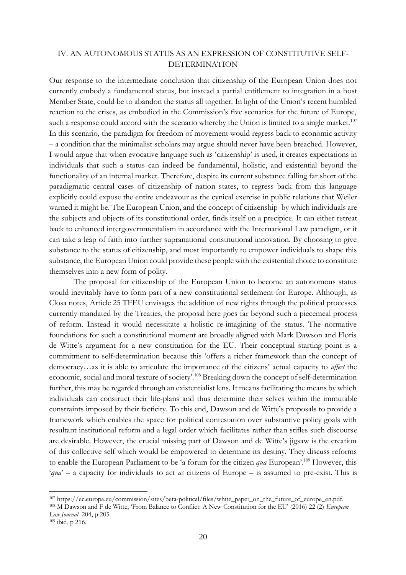## IV. AN AUTONOMOUS STATUS AS AN EXPRESSION OF CONSTITUTIVE SELF-DETERMINATION

Our response to the intermediate conclusion that citizenship of the European Union does not currently embody a fundamental status, but instead a partial entitlement to integration in a host Member State, could be to abandon the status all together. In light of the Union's recent humbled reaction to the crises, as embodied in the Commission's five scenarios for the future of Europe, such a response could accord with the scenario whereby the Union is limited to a single market.<sup>107</sup> In this scenario, the paradigm for freedom of movement would regress back to economic activity – a condition that the minimalist scholars may argue should never have been breached. However, I would argue that when evocative language such as 'citizenship' is used, it creates expectations in individuals that such a status can indeed be fundamental, holistic, and existential beyond the functionality of an internal market. Therefore, despite its current substance falling far short of the paradigmatic central cases of citizenship of nation states, to regress back from this language explicitly could expose the entire endeavour as the cynical exercise in public relations that Weiler warned it might be. The European Union, and the concept of citizenship by which individuals are the subjects and objects of its constitutional order, finds itself on a precipice. It can either retreat back to enhanced intergovernmentalism in accordance with the International Law paradigm, or it can take a leap of faith into further supranational constitutional innovation. By choosing to give substance to the status of citizenship, and most importantly to empower individuals to shape this substance, the European Union could provide these people with the existential choice to constitute themselves into a new form of polity.

The proposal for citizenship of the European Union to become an autonomous status would inevitably have to form part of a new constitutional settlement for Europe. Although, as Closa notes, Article 25 TFEU envisages the addition of new rights through the political processes currently mandated by the Treaties, the proposal here goes far beyond such a piecemeal process of reform. Instead it would necessitate a holistic re-imagining of the status. The normative foundations for such a constitutional moment are broadly aligned with Mark Dawson and Floris de Witte's argument for a new constitution for the EU. Their conceptual starting point is a commitment to self-determination because this 'offers a richer framework than the concept of democracy…as it is able to articulate the importance of the citizens' actual capacity to *affect* the economic, social and moral texture of society'.<sup>108</sup> Breaking down the concept of self-determination further, this may be regarded through an existentialist lens. It means facilitating the means by which individuals can construct their life-plans and thus determine their selves within the immutable constraints imposed by their facticity. To this end, Dawson and de Witte's proposals to provide a framework which enables the space for political contestation over substantive policy goals with resultant institutional reform and a legal order which facilitates rather than stifles such discourse are desirable. However, the crucial missing part of Dawson and de Witte's jigsaw is the creation of this collective self which would be empowered to determine its destiny. They discuss reforms to enable the European Parliament to be 'a forum for the citizen *qua* European'. <sup>109</sup> However, this '*qua*' – a capacity for individuals to act *as* citizens of Europe – is assumed to pre-exist. This is

<sup>107</sup> https://ec.europa.eu/commission/sites/beta-political/files/white\_paper\_on\_the\_future\_of\_europe\_en.pdf.

<sup>108</sup> M Dawson and F de Witte, 'From Balance to Conflict: A New Constitution for the EU' (2016) 22 (2) *European Law Journal* 204, p 205.

<sup>109</sup> ibid, p 216.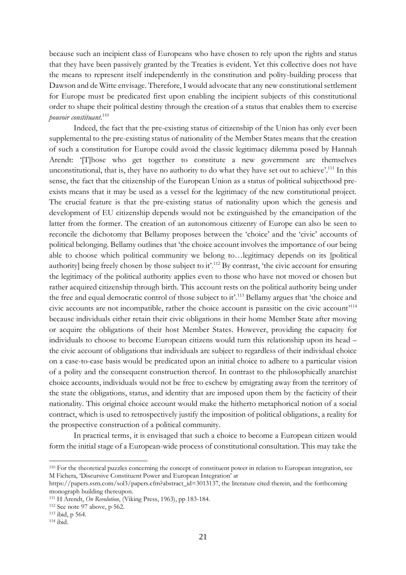because such an incipient class of Europeans who have chosen to rely upon the rights and status that they have been passively granted by the Treaties is evident. Yet this collective does not have the means to represent itself independently in the constitution and polity-building process that Dawson and de Witte envisage. Therefore, I would advocate that any new constitutional settlement for Europe must be predicated first upon enabling the incipient subjects of this constitutional order to shape their political destiny through the creation of a status that enables them to exercise *pouvoir constituant*. 110

Indeed, the fact that the pre-existing status of citizenship of the Union has only ever been supplemental to the pre-existing status of nationality of the Member States means that the creation of such a constitution for Europe could avoid the classic legitimacy dilemma posed by Hannah Arendt: '[T]hose who get together to constitute a new government are themselves unconstitutional, that is, they have no authority to do what they have set out to achieve'.<sup>111</sup> In this sense, the fact that the citizenship of the European Union as a status of political subjecthood preexists means that it may be used as a vessel for the legitimacy of the new constitutional project. The crucial feature is that the pre-existing status of nationality upon which the genesis and development of EU citizenship depends would not be extinguished by the emancipation of the latter from the former. The creation of an autonomous citizenry of Europe can also be seen to reconcile the dichotomy that Bellamy proposes between the 'choice' and the 'civic' accounts of political belonging. Bellamy outlines that 'the choice account involves the importance of our being able to choose which political community we belong to…legitimacy depends on its [political authority] being freely chosen by those subject to it'.<sup>112</sup> By contrast, 'the civic account for ensuring the legitimacy of the political authority applies even to those who have not moved or chosen but rather acquired citizenship through birth. This account rests on the political authority being under the free and equal democratic control of those subject to it'.<sup>113</sup> Bellamy argues that 'the choice and civic accounts are not incompatible, rather the choice account is parasitic on the civic account' 114 because individuals either retain their civic obligations in their home Member State after moving or acquire the obligations of their host Member States. However, providing the capacity for individuals to choose to become European citizens would turn this relationship upon its head – the civic account of obligations that individuals are subject to regardless of their individual choice on a case-to-case basis would be predicated upon an initial choice to adhere to a particular vision of a polity and the consequent construction thereof. In contrast to the philosophically anarchist choice accounts, individuals would not be free to eschew by emigrating away from the territory of the state the obligations, status, and identity that are imposed upon them by the facticity of their nationality. This original choice account would make the hitherto metaphorical notion of a social contract, which is used to retrospectively justify the imposition of political obligations, a reality for the prospective construction of a political community.

In practical terms, it is envisaged that such a choice to become a European citizen would form the initial stage of a European-wide process of constitutional consultation. This may take the

<sup>110</sup> For the theoretical puzzles concerning the concept of constituent power in relation to European integration, see M Fichera, 'Discursive Constituent Power and European Integration' at

https://papers.ssrn.com/sol3/papers.cfm?abstract\_id=3013137, the literature cited therein, and the forthcoming monograph building thereupon.

<sup>111</sup> H Arendt, *On Revolution*, (Viking Press, 1963), pp 183-184.

<sup>112</sup> See note 97 above, p 562.

<sup>113</sup> ibid, p 564.

<sup>114</sup> ibid.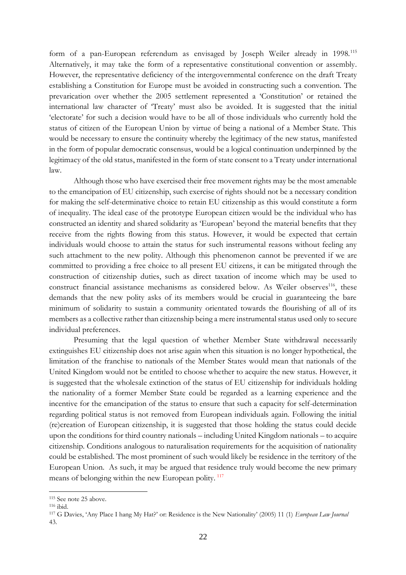form of a pan-European referendum as envisaged by Joseph Weiler already in 1998.<sup>115</sup> Alternatively, it may take the form of a representative constitutional convention or assembly. However, the representative deficiency of the intergovernmental conference on the draft Treaty establishing a Constitution for Europe must be avoided in constructing such a convention. The prevarication over whether the 2005 settlement represented a 'Constitution' or retained the international law character of 'Treaty' must also be avoided. It is suggested that the initial 'electorate' for such a decision would have to be all of those individuals who currently hold the status of citizen of the European Union by virtue of being a national of a Member State. This would be necessary to ensure the continuity whereby the legitimacy of the new status, manifested in the form of popular democratic consensus, would be a logical continuation underpinned by the legitimacy of the old status, manifested in the form of state consent to a Treaty under international law.

Although those who have exercised their free movement rights may be the most amenable to the emancipation of EU citizenship, such exercise of rights should not be a necessary condition for making the self-determinative choice to retain EU citizenship as this would constitute a form of inequality. The ideal case of the prototype European citizen would be the individual who has constructed an identity and shared solidarity as 'European' beyond the material benefits that they receive from the rights flowing from this status. However, it would be expected that certain individuals would choose to attain the status for such instrumental reasons without feeling any such attachment to the new polity. Although this phenomenon cannot be prevented if we are committed to providing a free choice to all present EU citizens, it can be mitigated through the construction of citizenship duties, such as direct taxation of income which may be used to construct financial assistance mechanisms as considered below. As Weiler observes<sup>116</sup>, these demands that the new polity asks of its members would be crucial in guaranteeing the bare minimum of solidarity to sustain a community orientated towards the flourishing of all of its members as a collective rather than citizenship being a mere instrumental status used only to secure individual preferences.

Presuming that the legal question of whether Member State withdrawal necessarily extinguishes EU citizenship does not arise again when this situation is no longer hypothetical, the limitation of the franchise to nationals of the Member States would mean that nationals of the United Kingdom would not be entitled to choose whether to acquire the new status. However, it is suggested that the wholesale extinction of the status of EU citizenship for individuals holding the nationality of a former Member State could be regarded as a learning experience and the incentive for the emancipation of the status to ensure that such a capacity for self-determination regarding political status is not removed from European individuals again. Following the initial (re)creation of European citizenship, it is suggested that those holding the status could decide upon the conditions for third country nationals – including United Kingdom nationals – to acquire citizenship. Conditions analogous to naturalisation requirements for the acquisition of nationality could be established. The most prominent of such would likely be residence in the territory of the European Union. As such, it may be argued that residence truly would become the new primary means of belonging within the new European polity.<sup>117</sup>

<sup>115</sup> See note 25 above.

<sup>116</sup> ibid.

<sup>117</sup> G Davies, 'Any Place I hang My Hat?' or: Residence is the New Nationality' (2005) 11 (1) *European Law Journal*  43.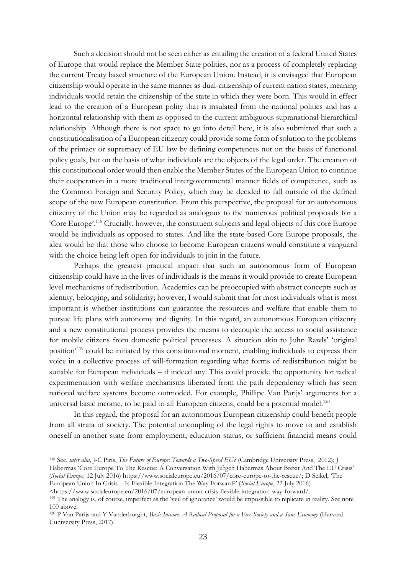Such a decision should not be seen either as entailing the creation of a federal United States of Europe that would replace the Member State polities, nor as a process of completely replacing the current Treaty based structure of the European Union. Instead, it is envisaged that European citizenship would operate in the same manner as dual-citizenship of current nation states, meaning individuals would retain the citizenship of the state in which they were born. This would in effect lead to the creation of a European polity that is insulated from the national polities and has a horizontal relationship with them as opposed to the current ambiguous supranational hierarchical relationship. Although there is not space to go into detail here, it is also submitted that such a constitutionalisation of a European citizenry could provide some form of solution to the problems of the primacy or supremacy of EU law by defining competences not on the basis of functional policy goals, but on the basis of what individuals are the objects of the legal order. The creation of this constitutional order would then enable the Member States of the European Union to continue their cooperation in a more traditional intergovernmental manner fields of competence, such as the Common Foreign and Security Policy, which may be decided to fall outside of the defined scope of the new European constitution. From this perspective, the proposal for an autonomous citizenry of the Union may be regarded as analogous to the numerous political proposals for a 'Core Europe'.<sup>118</sup> Crucially, however, the constituent subjects and legal objects of this core Europe would be individuals as opposed to states. And like the state-based Core Europe proposals, the idea would be that those who choose to become European citizens would constitute a vanguard with the choice being left open for individuals to join in the future.

Perhaps the greatest practical impact that such an autonomous form of European citizenship could have in the lives of individuals is the means it would provide to create European level mechanisms of redistribution. Academics can be preoccupied with abstract concepts such as identity, belonging, and solidarity; however, I would submit that for most individuals what is most important is whether institutions can guarantee the resources and welfare that enable them to pursue life plans with autonomy and dignity. In this regard, an autonomous European citizenry and a new constitutional process provides the means to decouple the access to social assistance for mobile citizens from domestic political processes. A situation akin to John Rawls' 'original position' <sup>119</sup> could be initiated by this constitutional moment, enabling individuals to express their voice in a collective process of will-formation regarding what forms of redistribution might be suitable for European individuals – if indeed any. This could provide the opportunity for radical experimentation with welfare mechanisms liberated from the path dependency which has seen national welfare systems become outmoded. For example, Phillipe Van Parijs' arguments for a universal basic income, to be paid to all European citizens, could be a potential model.<sup>120</sup>

In this regard, the proposal for an autonomous European citizenship could benefit people from all strata of society. The potential uncoupling of the legal rights to move to and establish oneself in another state from employment, education status, or sufficient financial means could

<https://www.socialeurope.eu/2016/07/european-union-crisis-flexible-integration-way-forward/.

<sup>118</sup> See, *inter alia*, J-C Piris, *The Future of Europe: Towards a Two-Speed EU?* (Cambridge University Press, 2012); J Habermas 'Core Europe To The Rescue: A Conversation With Jürgen Habermas About Brexit And The EU Crisis' (*Social Europe,* 12 July 2016) https://www.socialeurope.eu/2016/07/core-europe-to-the-rescue/; D Seikel, 'The European Union In Crisis – Is Flexible Integration The Way Forward?' (*Social Europe*, 22 July 2016)

<sup>119</sup> The analogy is, of course, imperfect as the 'veil of ignorance' would be impossible to replicate in reality. See note 100 above.

<sup>120</sup> P Van Parijs and Y Vanderborght, *Basic Income: A Radical Proposal for a Free Society and a Sane Economy* (Harvard Uuniversity Press, 2017).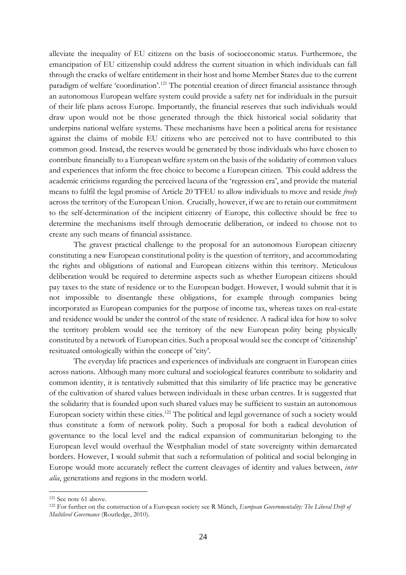alleviate the inequality of EU citizens on the basis of socioeconomic status. Furthermore, the emancipation of EU citizenship could address the current situation in which individuals can fall through the cracks of welfare entitlement in their host and home Member States due to the current paradigm of welfare 'coordination'.<sup>121</sup> The potential creation of direct financial assistance through an autonomous European welfare system could provide a safety net for individuals in the pursuit of their life plans across Europe. Importantly, the financial reserves that such individuals would draw upon would not be those generated through the thick historical social solidarity that underpins national welfare systems. These mechanisms have been a political arena for resistance against the claims of mobile EU citizens who are perceived not to have contributed to this common good. Instead, the reserves would be generated by those individuals who have chosen to contribute financially to a European welfare system on the basis of the solidarity of common values and experiences that inform the free choice to become a European citizen. This could address the academic criticisms regarding the perceived lacuna of the 'regression era', and provide the material means to fulfil the legal promise of Article 20 TFEU to allow individuals to move and reside *freely*  across the territory of the European Union. Crucially, however, if we are to retain our commitment to the self-determination of the incipient citizenry of Europe, this collective should be free to determine the mechanisms itself through democratic deliberation, or indeed to choose not to create any such means of financial assistance.

The gravest practical challenge to the proposal for an autonomous European citizenry constituting a new European constitutional polity is the question of territory, and accommodating the rights and obligations of national and European citizens within this territory. Meticulous deliberation would be required to determine aspects such as whether European citizens should pay taxes to the state of residence or to the European budget. However, I would submit that it is not impossible to disentangle these obligations, for example through companies being incorporated as European companies for the purpose of income tax, whereas taxes on real-estate and residence would be under the control of the state of residence. A radical idea for how to solve the territory problem would see the territory of the new European polity being physically constituted by a network of European cities. Such a proposal would see the concept of 'citizenship' resituated ontologically within the concept of 'city'.

The everyday life practices and experiences of individuals are congruent in European cities across nations. Although many more cultural and sociological features contribute to solidarity and common identity, it is tentatively submitted that this similarity of life practice may be generative of the cultivation of shared values between individuals in these urban centres. It is suggested that the solidarity that is founded upon such shared values may be sufficient to sustain an autonomous European society within these cities.<sup>122</sup> The political and legal governance of such a society would thus constitute a form of network polity. Such a proposal for both a radical devolution of governance to the local level and the radical expansion of communitarian belonging to the European level would overhaul the Westphalian model of state sovereignty within demarcated borders. However, I would submit that such a reformulation of political and social belonging in Europe would more accurately reflect the current cleavages of identity and values between, *inter alia*, generations and regions in the modern world.

<sup>121</sup> See note 61 above.

<sup>122</sup> For further on the construction of a European society see R Münch, *European Governmentality: The Liberal Drift of Multilevel Governance* (Routledge, 2010).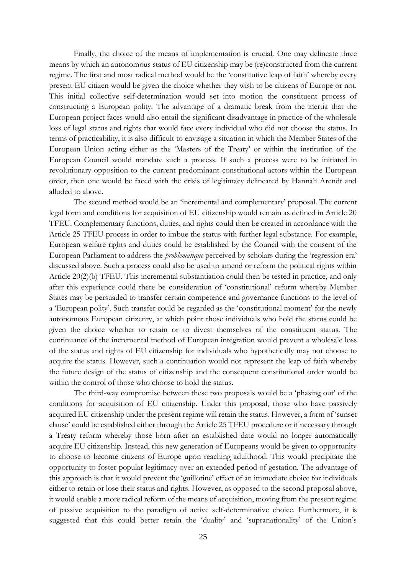Finally, the choice of the means of implementation is crucial. One may delineate three means by which an autonomous status of EU citizenship may be (re)constructed from the current regime. The first and most radical method would be the 'constitutive leap of faith' whereby every present EU citizen would be given the choice whether they wish to be citizens of Europe or not. This initial collective self-determination would set into motion the constituent process of constructing a European polity. The advantage of a dramatic break from the inertia that the European project faces would also entail the significant disadvantage in practice of the wholesale loss of legal status and rights that would face every individual who did not choose the status. In terms of practicability, it is also difficult to envisage a situation in which the Member States of the European Union acting either as the 'Masters of the Treaty' or within the institution of the European Council would mandate such a process. If such a process were to be initiated in revolutionary opposition to the current predominant constitutional actors within the European order, then one would be faced with the crisis of legitimacy delineated by Hannah Arendt and alluded to above.

The second method would be an 'incremental and complementary' proposal. The current legal form and conditions for acquisition of EU citizenship would remain as defined in Article 20 TFEU. Complementary functions, duties, and rights could then be created in accordance with the Article 25 TFEU process in order to imbue the status with further legal substance. For example, European welfare rights and duties could be established by the Council with the consent of the European Parliament to address the *problematique* perceived by scholars during the 'regression era' discussed above. Such a process could also be used to amend or reform the political rights within Article 20(2)(b) TFEU. This incremental substantiation could then be tested in practice, and only after this experience could there be consideration of 'constitutional' reform whereby Member States may be persuaded to transfer certain competence and governance functions to the level of a 'European polity'. Such transfer could be regarded as the 'constitutional moment' for the newly autonomous European citizenry, at which point those individuals who hold the status could be given the choice whether to retain or to divest themselves of the constituent status. The continuance of the incremental method of European integration would prevent a wholesale loss of the status and rights of EU citizenship for individuals who hypothetically may not choose to acquire the status. However, such a continuation would not represent the leap of faith whereby the future design of the status of citizenship and the consequent constitutional order would be within the control of those who choose to hold the status.

The third-way compromise between these two proposals would be a 'phasing out' of the conditions for acquisition of EU citizenship. Under this proposal, those who have passively acquired EU citizenship under the present regime will retain the status. However, a form of 'sunset clause' could be established either through the Article 25 TFEU procedure or if necessary through a Treaty reform whereby those born after an established date would no longer automatically acquire EU citizenship. Instead, this new generation of Europeans would be given to opportunity to choose to become citizens of Europe upon reaching adulthood. This would precipitate the opportunity to foster popular legitimacy over an extended period of gestation. The advantage of this approach is that it would prevent the 'guillotine' effect of an immediate choice for individuals either to retain or lose their status and rights. However, as opposed to the second proposal above, it would enable a more radical reform of the means of acquisition, moving from the present regime of passive acquisition to the paradigm of active self-determinative choice. Furthermore, it is suggested that this could better retain the 'duality' and 'supranationality' of the Union's